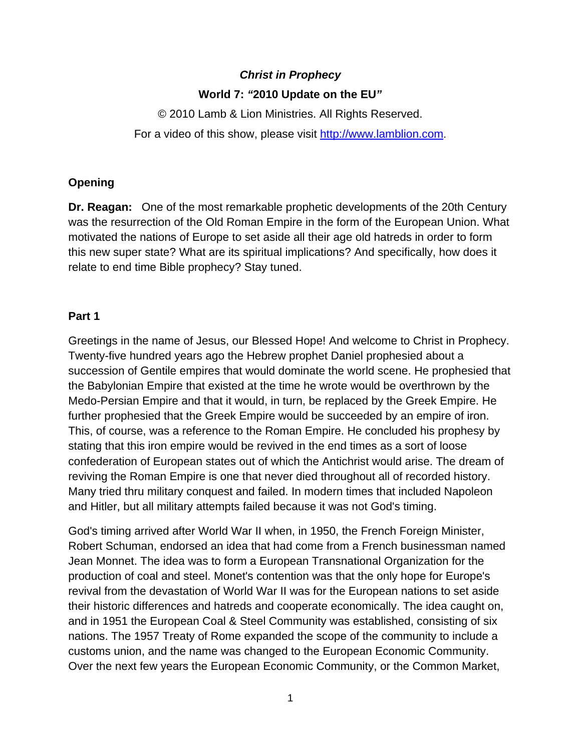# *Christ in Prophecy*  **World 7:** *"***2010 Update on the EU***"*

© 2010 Lamb & Lion Ministries. All Rights Reserved. For a video of this show, please visit [http://www.lamblion.com](http://www.lamblion.com/).

# **Opening**

**Dr. Reagan:** One of the most remarkable prophetic developments of the 20th Century was the resurrection of the Old Roman Empire in the form of the European Union. What motivated the nations of Europe to set aside all their age old hatreds in order to form this new super state? What are its spiritual implications? And specifically, how does it relate to end time Bible prophecy? Stay tuned.

# **Part 1**

Greetings in the name of Jesus, our Blessed Hope! And welcome to Christ in Prophecy. Twenty-five hundred years ago the Hebrew prophet Daniel prophesied about a succession of Gentile empires that would dominate the world scene. He prophesied that the Babylonian Empire that existed at the time he wrote would be overthrown by the Medo-Persian Empire and that it would, in turn, be replaced by the Greek Empire. He further prophesied that the Greek Empire would be succeeded by an empire of iron. This, of course, was a reference to the Roman Empire. He concluded his prophesy by stating that this iron empire would be revived in the end times as a sort of loose confederation of European states out of which the Antichrist would arise. The dream of reviving the Roman Empire is one that never died throughout all of recorded history. Many tried thru military conquest and failed. In modern times that included Napoleon and Hitler, but all military attempts failed because it was not God's timing.

God's timing arrived after World War II when, in 1950, the French Foreign Minister, Robert Schuman, endorsed an idea that had come from a French businessman named Jean Monnet. The idea was to form a European Transnational Organization for the production of coal and steel. Monet's contention was that the only hope for Europe's revival from the devastation of World War II was for the European nations to set aside their historic differences and hatreds and cooperate economically. The idea caught on, and in 1951 the European Coal & Steel Community was established, consisting of six nations. The 1957 Treaty of Rome expanded the scope of the community to include a customs union, and the name was changed to the European Economic Community. Over the next few years the European Economic Community, or the Common Market,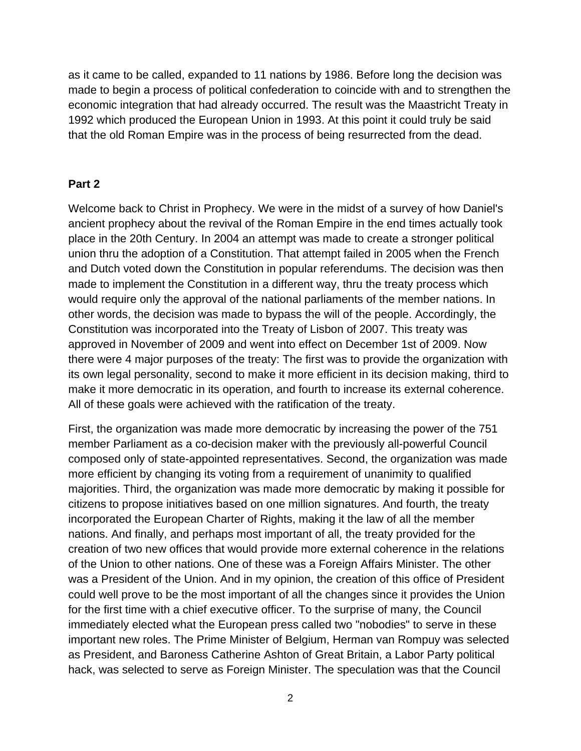as it came to be called, expanded to 11 nations by 1986. Before long the decision was made to begin a process of political confederation to coincide with and to strengthen the economic integration that had already occurred. The result was the Maastricht Treaty in 1992 which produced the European Union in 1993. At this point it could truly be said that the old Roman Empire was in the process of being resurrected from the dead.

#### **Part 2**

Welcome back to Christ in Prophecy. We were in the midst of a survey of how Daniel's ancient prophecy about the revival of the Roman Empire in the end times actually took place in the 20th Century. In 2004 an attempt was made to create a stronger political union thru the adoption of a Constitution. That attempt failed in 2005 when the French and Dutch voted down the Constitution in popular referendums. The decision was then made to implement the Constitution in a different way, thru the treaty process which would require only the approval of the national parliaments of the member nations. In other words, the decision was made to bypass the will of the people. Accordingly, the Constitution was incorporated into the Treaty of Lisbon of 2007. This treaty was approved in November of 2009 and went into effect on December 1st of 2009. Now there were 4 major purposes of the treaty: The first was to provide the organization with its own legal personality, second to make it more efficient in its decision making, third to make it more democratic in its operation, and fourth to increase its external coherence. All of these goals were achieved with the ratification of the treaty.

First, the organization was made more democratic by increasing the power of the 751 member Parliament as a co-decision maker with the previously all-powerful Council composed only of state-appointed representatives. Second, the organization was made more efficient by changing its voting from a requirement of unanimity to qualified majorities. Third, the organization was made more democratic by making it possible for citizens to propose initiatives based on one million signatures. And fourth, the treaty incorporated the European Charter of Rights, making it the law of all the member nations. And finally, and perhaps most important of all, the treaty provided for the creation of two new offices that would provide more external coherence in the relations of the Union to other nations. One of these was a Foreign Affairs Minister. The other was a President of the Union. And in my opinion, the creation of this office of President could well prove to be the most important of all the changes since it provides the Union for the first time with a chief executive officer. To the surprise of many, the Council immediately elected what the European press called two "nobodies" to serve in these important new roles. The Prime Minister of Belgium, Herman van Rompuy was selected as President, and Baroness Catherine Ashton of Great Britain, a Labor Party political hack, was selected to serve as Foreign Minister. The speculation was that the Council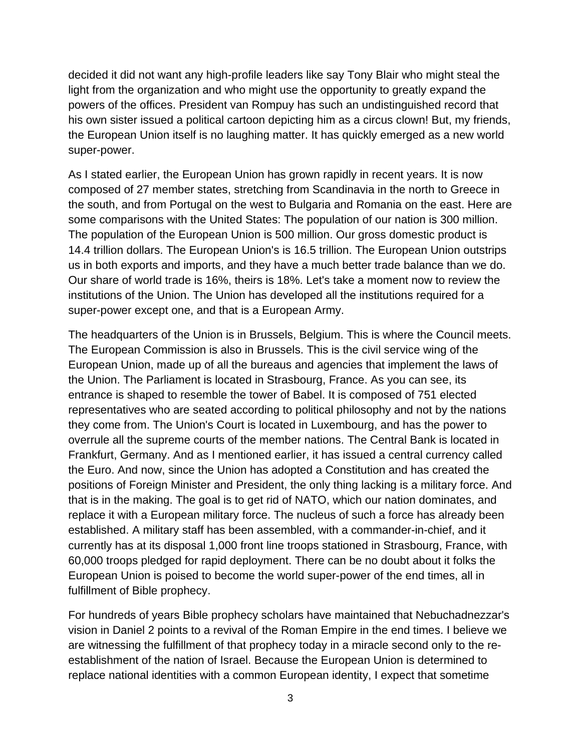decided it did not want any high-profile leaders like say Tony Blair who might steal the light from the organization and who might use the opportunity to greatly expand the powers of the offices. President van Rompuy has such an undistinguished record that his own sister issued a political cartoon depicting him as a circus clown! But, my friends, the European Union itself is no laughing matter. It has quickly emerged as a new world super-power.

As I stated earlier, the European Union has grown rapidly in recent years. It is now composed of 27 member states, stretching from Scandinavia in the north to Greece in the south, and from Portugal on the west to Bulgaria and Romania on the east. Here are some comparisons with the United States: The population of our nation is 300 million. The population of the European Union is 500 million. Our gross domestic product is 14.4 trillion dollars. The European Union's is 16.5 trillion. The European Union outstrips us in both exports and imports, and they have a much better trade balance than we do. Our share of world trade is 16%, theirs is 18%. Let's take a moment now to review the institutions of the Union. The Union has developed all the institutions required for a super-power except one, and that is a European Army.

The headquarters of the Union is in Brussels, Belgium. This is where the Council meets. The European Commission is also in Brussels. This is the civil service wing of the European Union, made up of all the bureaus and agencies that implement the laws of the Union. The Parliament is located in Strasbourg, France. As you can see, its entrance is shaped to resemble the tower of Babel. It is composed of 751 elected representatives who are seated according to political philosophy and not by the nations they come from. The Union's Court is located in Luxembourg, and has the power to overrule all the supreme courts of the member nations. The Central Bank is located in Frankfurt, Germany. And as I mentioned earlier, it has issued a central currency called the Euro. And now, since the Union has adopted a Constitution and has created the positions of Foreign Minister and President, the only thing lacking is a military force. And that is in the making. The goal is to get rid of NATO, which our nation dominates, and replace it with a European military force. The nucleus of such a force has already been established. A military staff has been assembled, with a commander-in-chief, and it currently has at its disposal 1,000 front line troops stationed in Strasbourg, France, with 60,000 troops pledged for rapid deployment. There can be no doubt about it folks the European Union is poised to become the world super-power of the end times, all in fulfillment of Bible prophecy.

For hundreds of years Bible prophecy scholars have maintained that Nebuchadnezzar's vision in Daniel 2 points to a revival of the Roman Empire in the end times. I believe we are witnessing the fulfillment of that prophecy today in a miracle second only to the reestablishment of the nation of Israel. Because the European Union is determined to replace national identities with a common European identity, I expect that sometime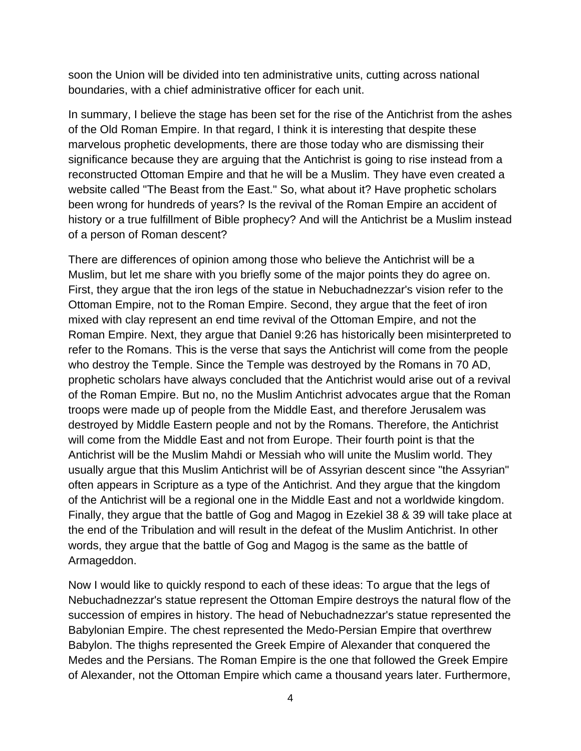soon the Union will be divided into ten administrative units, cutting across national boundaries, with a chief administrative officer for each unit.

In summary, I believe the stage has been set for the rise of the Antichrist from the ashes of the Old Roman Empire. In that regard, I think it is interesting that despite these marvelous prophetic developments, there are those today who are dismissing their significance because they are arguing that the Antichrist is going to rise instead from a reconstructed Ottoman Empire and that he will be a Muslim. They have even created a website called "The Beast from the East." So, what about it? Have prophetic scholars been wrong for hundreds of years? Is the revival of the Roman Empire an accident of history or a true fulfillment of Bible prophecy? And will the Antichrist be a Muslim instead of a person of Roman descent?

There are differences of opinion among those who believe the Antichrist will be a Muslim, but let me share with you briefly some of the major points they do agree on. First, they argue that the iron legs of the statue in Nebuchadnezzar's vision refer to the Ottoman Empire, not to the Roman Empire. Second, they argue that the feet of iron mixed with clay represent an end time revival of the Ottoman Empire, and not the Roman Empire. Next, they argue that Daniel 9:26 has historically been misinterpreted to refer to the Romans. This is the verse that says the Antichrist will come from the people who destroy the Temple. Since the Temple was destroyed by the Romans in 70 AD, prophetic scholars have always concluded that the Antichrist would arise out of a revival of the Roman Empire. But no, no the Muslim Antichrist advocates argue that the Roman troops were made up of people from the Middle East, and therefore Jerusalem was destroyed by Middle Eastern people and not by the Romans. Therefore, the Antichrist will come from the Middle East and not from Europe. Their fourth point is that the Antichrist will be the Muslim Mahdi or Messiah who will unite the Muslim world. They usually argue that this Muslim Antichrist will be of Assyrian descent since "the Assyrian" often appears in Scripture as a type of the Antichrist. And they argue that the kingdom of the Antichrist will be a regional one in the Middle East and not a worldwide kingdom. Finally, they argue that the battle of Gog and Magog in Ezekiel 38 & 39 will take place at the end of the Tribulation and will result in the defeat of the Muslim Antichrist. In other words, they argue that the battle of Gog and Magog is the same as the battle of Armageddon.

Now I would like to quickly respond to each of these ideas: To argue that the legs of Nebuchadnezzar's statue represent the Ottoman Empire destroys the natural flow of the succession of empires in history. The head of Nebuchadnezzar's statue represented the Babylonian Empire. The chest represented the Medo-Persian Empire that overthrew Babylon. The thighs represented the Greek Empire of Alexander that conquered the Medes and the Persians. The Roman Empire is the one that followed the Greek Empire of Alexander, not the Ottoman Empire which came a thousand years later. Furthermore,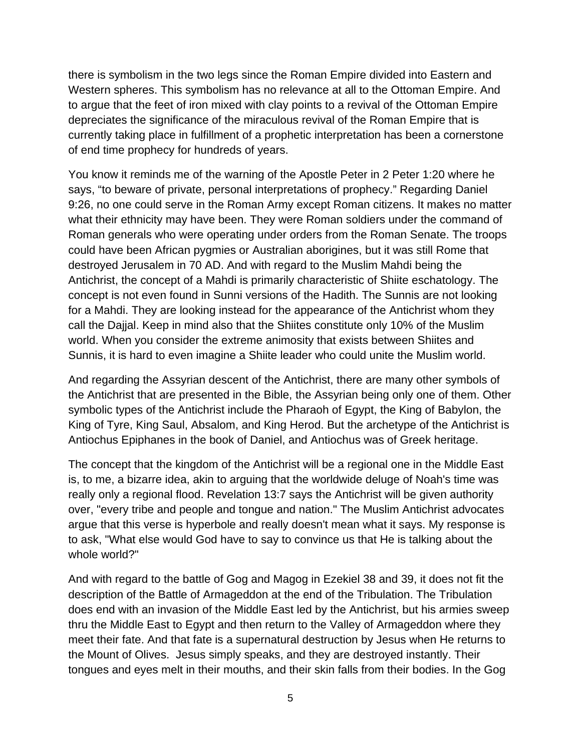there is symbolism in the two legs since the Roman Empire divided into Eastern and Western spheres. This symbolism has no relevance at all to the Ottoman Empire. And to argue that the feet of iron mixed with clay points to a revival of the Ottoman Empire depreciates the significance of the miraculous revival of the Roman Empire that is currently taking place in fulfillment of a prophetic interpretation has been a cornerstone of end time prophecy for hundreds of years.

You know it reminds me of the warning of the Apostle Peter in 2 Peter 1:20 where he says, "to beware of private, personal interpretations of prophecy." Regarding Daniel 9:26, no one could serve in the Roman Army except Roman citizens. It makes no matter what their ethnicity may have been. They were Roman soldiers under the command of Roman generals who were operating under orders from the Roman Senate. The troops could have been African pygmies or Australian aborigines, but it was still Rome that destroyed Jerusalem in 70 AD. And with regard to the Muslim Mahdi being the Antichrist, the concept of a Mahdi is primarily characteristic of Shiite eschatology. The concept is not even found in Sunni versions of the Hadith. The Sunnis are not looking for a Mahdi. They are looking instead for the appearance of the Antichrist whom they call the Dajjal. Keep in mind also that the Shiites constitute only 10% of the Muslim world. When you consider the extreme animosity that exists between Shiites and Sunnis, it is hard to even imagine a Shiite leader who could unite the Muslim world.

And regarding the Assyrian descent of the Antichrist, there are many other symbols of the Antichrist that are presented in the Bible, the Assyrian being only one of them. Other symbolic types of the Antichrist include the Pharaoh of Egypt, the King of Babylon, the King of Tyre, King Saul, Absalom, and King Herod. But the archetype of the Antichrist is Antiochus Epiphanes in the book of Daniel, and Antiochus was of Greek heritage.

The concept that the kingdom of the Antichrist will be a regional one in the Middle East is, to me, a bizarre idea, akin to arguing that the worldwide deluge of Noah's time was really only a regional flood. Revelation 13:7 says the Antichrist will be given authority over, "every tribe and people and tongue and nation." The Muslim Antichrist advocates argue that this verse is hyperbole and really doesn't mean what it says. My response is to ask, "What else would God have to say to convince us that He is talking about the whole world?"

And with regard to the battle of Gog and Magog in Ezekiel 38 and 39, it does not fit the description of the Battle of Armageddon at the end of the Tribulation. The Tribulation does end with an invasion of the Middle East led by the Antichrist, but his armies sweep thru the Middle East to Egypt and then return to the Valley of Armageddon where they meet their fate. And that fate is a supernatural destruction by Jesus when He returns to the Mount of Olives. Jesus simply speaks, and they are destroyed instantly. Their tongues and eyes melt in their mouths, and their skin falls from their bodies. In the Gog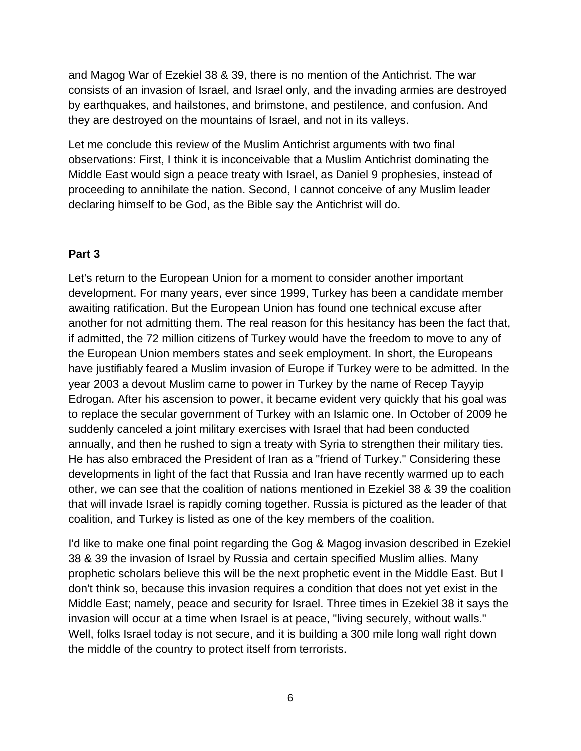and Magog War of Ezekiel 38 & 39, there is no mention of the Antichrist. The war consists of an invasion of Israel, and Israel only, and the invading armies are destroyed by earthquakes, and hailstones, and brimstone, and pestilence, and confusion. And they are destroyed on the mountains of Israel, and not in its valleys.

Let me conclude this review of the Muslim Antichrist arguments with two final observations: First, I think it is inconceivable that a Muslim Antichrist dominating the Middle East would sign a peace treaty with Israel, as Daniel 9 prophesies, instead of proceeding to annihilate the nation. Second, I cannot conceive of any Muslim leader declaring himself to be God, as the Bible say the Antichrist will do.

## **Part 3**

Let's return to the European Union for a moment to consider another important development. For many years, ever since 1999, Turkey has been a candidate member awaiting ratification. But the European Union has found one technical excuse after another for not admitting them. The real reason for this hesitancy has been the fact that, if admitted, the 72 million citizens of Turkey would have the freedom to move to any of the European Union members states and seek employment. In short, the Europeans have justifiably feared a Muslim invasion of Europe if Turkey were to be admitted. In the year 2003 a devout Muslim came to power in Turkey by the name of Recep Tayyip Edrogan. After his ascension to power, it became evident very quickly that his goal was to replace the secular government of Turkey with an Islamic one. In October of 2009 he suddenly canceled a joint military exercises with Israel that had been conducted annually, and then he rushed to sign a treaty with Syria to strengthen their military ties. He has also embraced the President of Iran as a "friend of Turkey." Considering these developments in light of the fact that Russia and Iran have recently warmed up to each other, we can see that the coalition of nations mentioned in Ezekiel 38 & 39 the coalition that will invade Israel is rapidly coming together. Russia is pictured as the leader of that coalition, and Turkey is listed as one of the key members of the coalition.

I'd like to make one final point regarding the Gog & Magog invasion described in Ezekiel 38 & 39 the invasion of Israel by Russia and certain specified Muslim allies. Many prophetic scholars believe this will be the next prophetic event in the Middle East. But I don't think so, because this invasion requires a condition that does not yet exist in the Middle East; namely, peace and security for Israel. Three times in Ezekiel 38 it says the invasion will occur at a time when Israel is at peace, "living securely, without walls." Well, folks Israel today is not secure, and it is building a 300 mile long wall right down the middle of the country to protect itself from terrorists.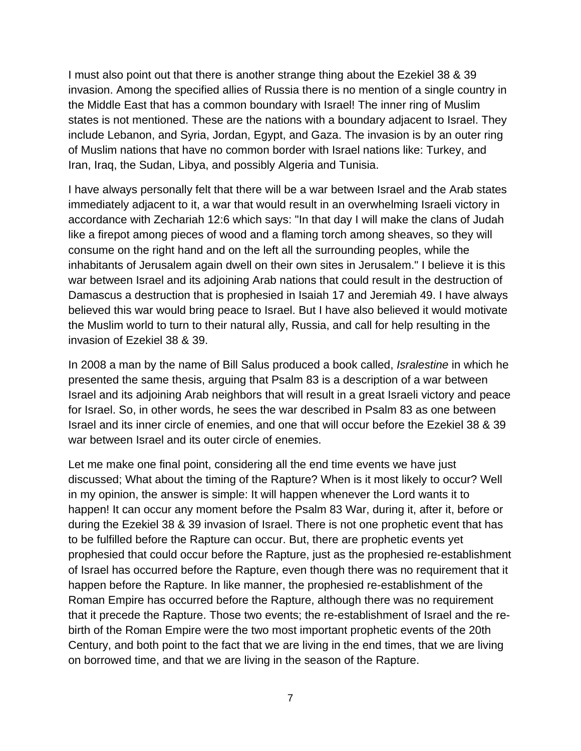I must also point out that there is another strange thing about the Ezekiel 38 & 39 invasion. Among the specified allies of Russia there is no mention of a single country in the Middle East that has a common boundary with Israel! The inner ring of Muslim states is not mentioned. These are the nations with a boundary adjacent to Israel. They include Lebanon, and Syria, Jordan, Egypt, and Gaza. The invasion is by an outer ring of Muslim nations that have no common border with Israel nations like: Turkey, and Iran, Iraq, the Sudan, Libya, and possibly Algeria and Tunisia.

I have always personally felt that there will be a war between Israel and the Arab states immediately adjacent to it, a war that would result in an overwhelming Israeli victory in accordance with Zechariah 12:6 which says: "In that day I will make the clans of Judah like a firepot among pieces of wood and a flaming torch among sheaves, so they will consume on the right hand and on the left all the surrounding peoples, while the inhabitants of Jerusalem again dwell on their own sites in Jerusalem." I believe it is this war between Israel and its adjoining Arab nations that could result in the destruction of Damascus a destruction that is prophesied in Isaiah 17 and Jeremiah 49. I have always believed this war would bring peace to Israel. But I have also believed it would motivate the Muslim world to turn to their natural ally, Russia, and call for help resulting in the invasion of Ezekiel 38 & 39.

In 2008 a man by the name of Bill Salus produced a book called, *Isralestine* in which he presented the same thesis, arguing that Psalm 83 is a description of a war between Israel and its adjoining Arab neighbors that will result in a great Israeli victory and peace for Israel. So, in other words, he sees the war described in Psalm 83 as one between Israel and its inner circle of enemies, and one that will occur before the Ezekiel 38 & 39 war between Israel and its outer circle of enemies.

Let me make one final point, considering all the end time events we have just discussed; What about the timing of the Rapture? When is it most likely to occur? Well in my opinion, the answer is simple: It will happen whenever the Lord wants it to happen! It can occur any moment before the Psalm 83 War, during it, after it, before or during the Ezekiel 38 & 39 invasion of Israel. There is not one prophetic event that has to be fulfilled before the Rapture can occur. But, there are prophetic events yet prophesied that could occur before the Rapture, just as the prophesied re-establishment of Israel has occurred before the Rapture, even though there was no requirement that it happen before the Rapture. In like manner, the prophesied re-establishment of the Roman Empire has occurred before the Rapture, although there was no requirement that it precede the Rapture. Those two events; the re-establishment of Israel and the rebirth of the Roman Empire were the two most important prophetic events of the 20th Century, and both point to the fact that we are living in the end times, that we are living on borrowed time, and that we are living in the season of the Rapture.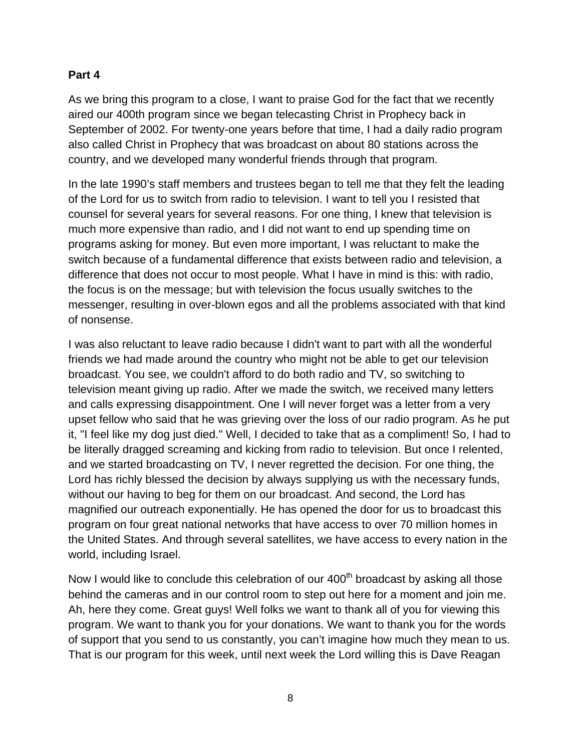### **Part 4**

As we bring this program to a close, I want to praise God for the fact that we recently aired our 400th program since we began telecasting Christ in Prophecy back in September of 2002. For twenty-one years before that time, I had a daily radio program also called Christ in Prophecy that was broadcast on about 80 stations across the country, and we developed many wonderful friends through that program.

In the late 1990's staff members and trustees began to tell me that they felt the leading of the Lord for us to switch from radio to television. I want to tell you I resisted that counsel for several years for several reasons. For one thing, I knew that television is much more expensive than radio, and I did not want to end up spending time on programs asking for money. But even more important, I was reluctant to make the switch because of a fundamental difference that exists between radio and television, a difference that does not occur to most people. What I have in mind is this: with radio, the focus is on the message; but with television the focus usually switches to the messenger, resulting in over-blown egos and all the problems associated with that kind of nonsense.

I was also reluctant to leave radio because I didn't want to part with all the wonderful friends we had made around the country who might not be able to get our television broadcast. You see, we couldn't afford to do both radio and TV, so switching to television meant giving up radio. After we made the switch, we received many letters and calls expressing disappointment. One I will never forget was a letter from a very upset fellow who said that he was grieving over the loss of our radio program. As he put it, "I feel like my dog just died." Well, I decided to take that as a compliment! So, I had to be literally dragged screaming and kicking from radio to television. But once I relented, and we started broadcasting on TV, I never regretted the decision. For one thing, the Lord has richly blessed the decision by always supplying us with the necessary funds, without our having to beg for them on our broadcast. And second, the Lord has magnified our outreach exponentially. He has opened the door for us to broadcast this program on four great national networks that have access to over 70 million homes in the United States. And through several satellites, we have access to every nation in the world, including Israel.

Now I would like to conclude this celebration of our 400<sup>th</sup> broadcast by asking all those behind the cameras and in our control room to step out here for a moment and join me. Ah, here they come. Great guys! Well folks we want to thank all of you for viewing this program. We want to thank you for your donations. We want to thank you for the words of support that you send to us constantly, you can't imagine how much they mean to us. That is our program for this week, until next week the Lord willing this is Dave Reagan